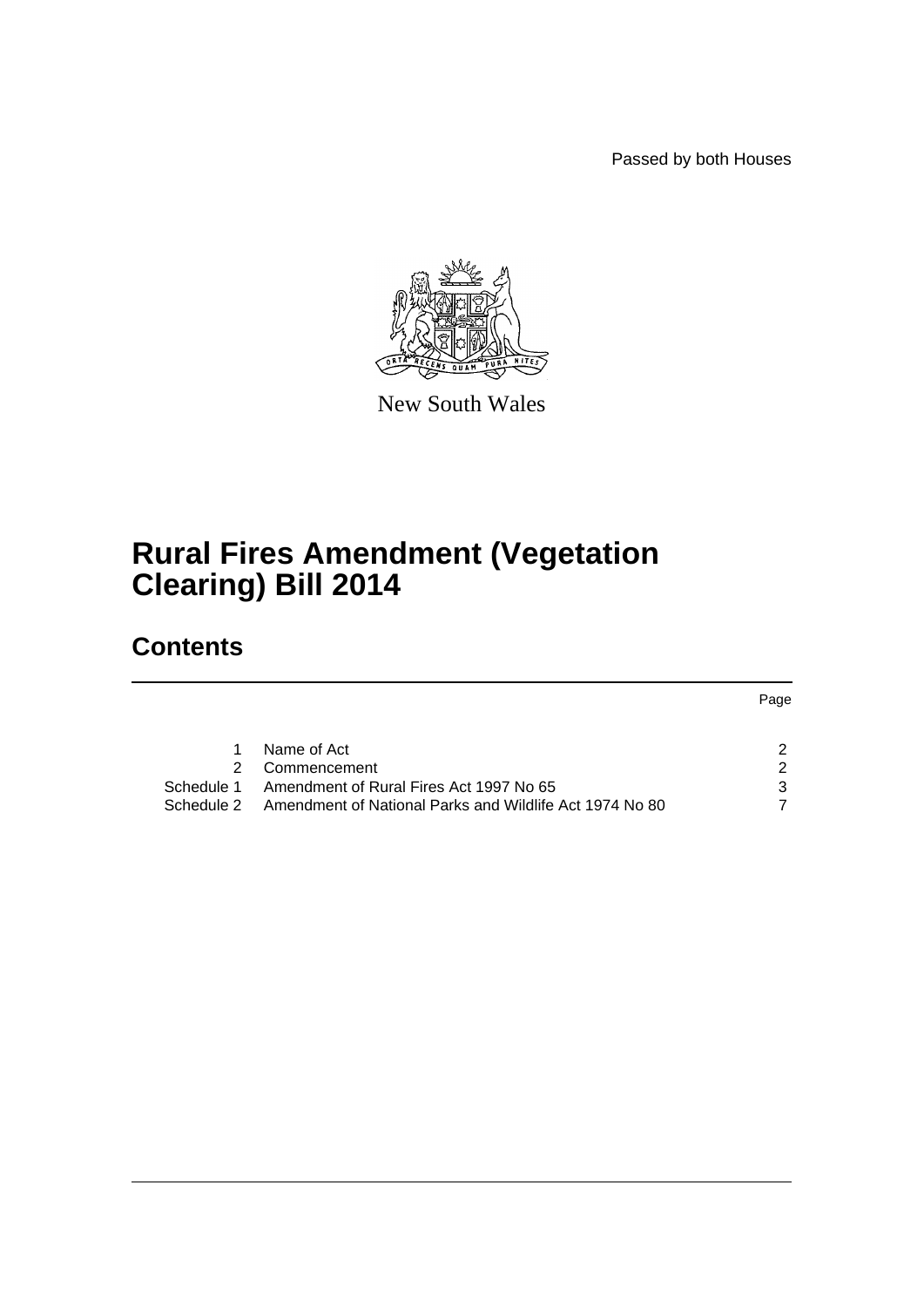Passed by both Houses



New South Wales

# **Rural Fires Amendment (Vegetation Clearing) Bill 2014**

# **Contents**

Page

| Name of Act                                                        |  |
|--------------------------------------------------------------------|--|
| 2 Commencement                                                     |  |
| Schedule 1 Amendment of Rural Fires Act 1997 No 65                 |  |
| Schedule 2 Amendment of National Parks and Wildlife Act 1974 No 80 |  |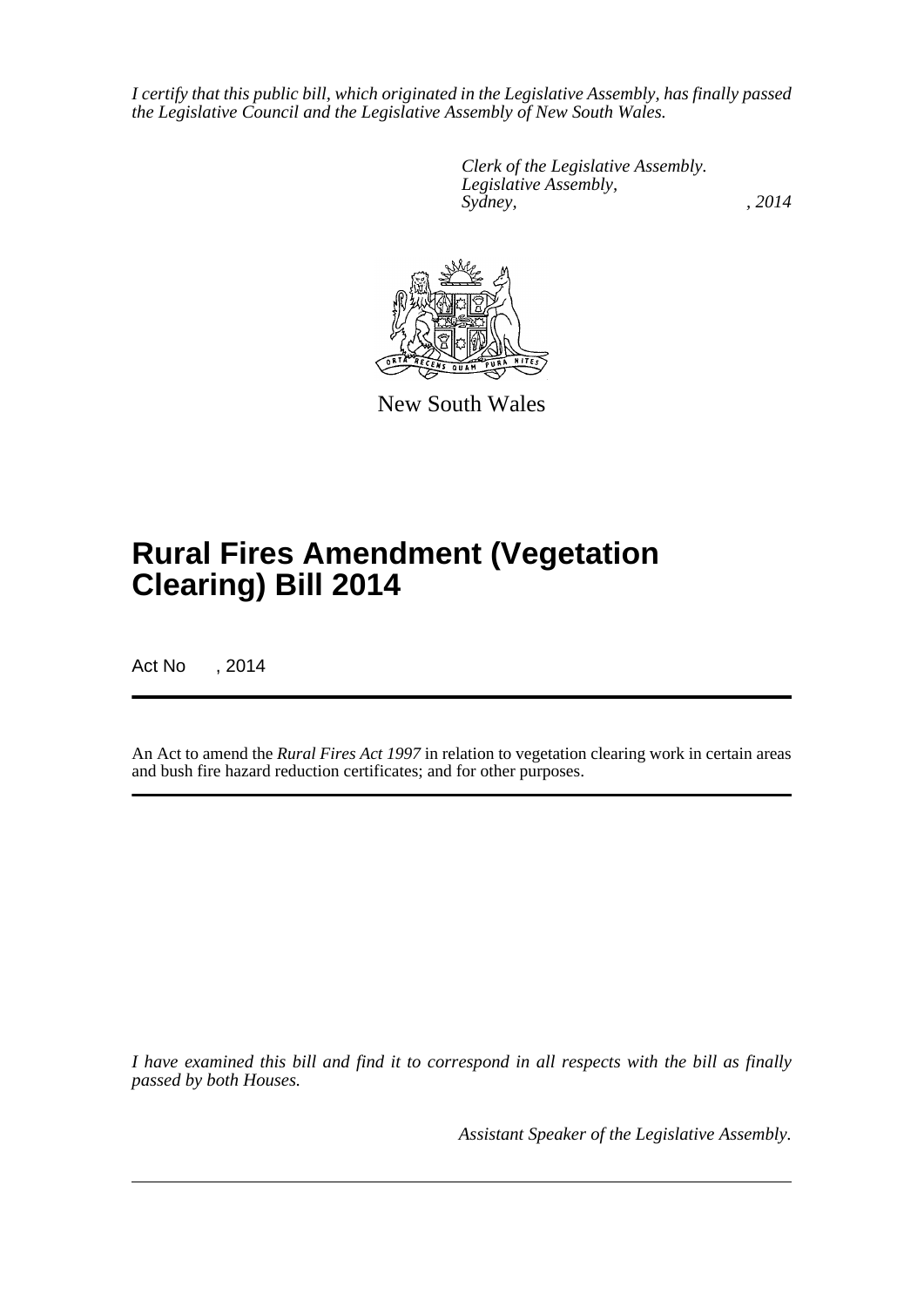*I certify that this public bill, which originated in the Legislative Assembly, has finally passed the Legislative Council and the Legislative Assembly of New South Wales.*

> *Clerk of the Legislative Assembly. Legislative Assembly, Sydney,* , 2014



New South Wales

# **Rural Fires Amendment (Vegetation Clearing) Bill 2014**

Act No , 2014

An Act to amend the *Rural Fires Act 1997* in relation to vegetation clearing work in certain areas and bush fire hazard reduction certificates; and for other purposes.

*I have examined this bill and find it to correspond in all respects with the bill as finally passed by both Houses.*

*Assistant Speaker of the Legislative Assembly.*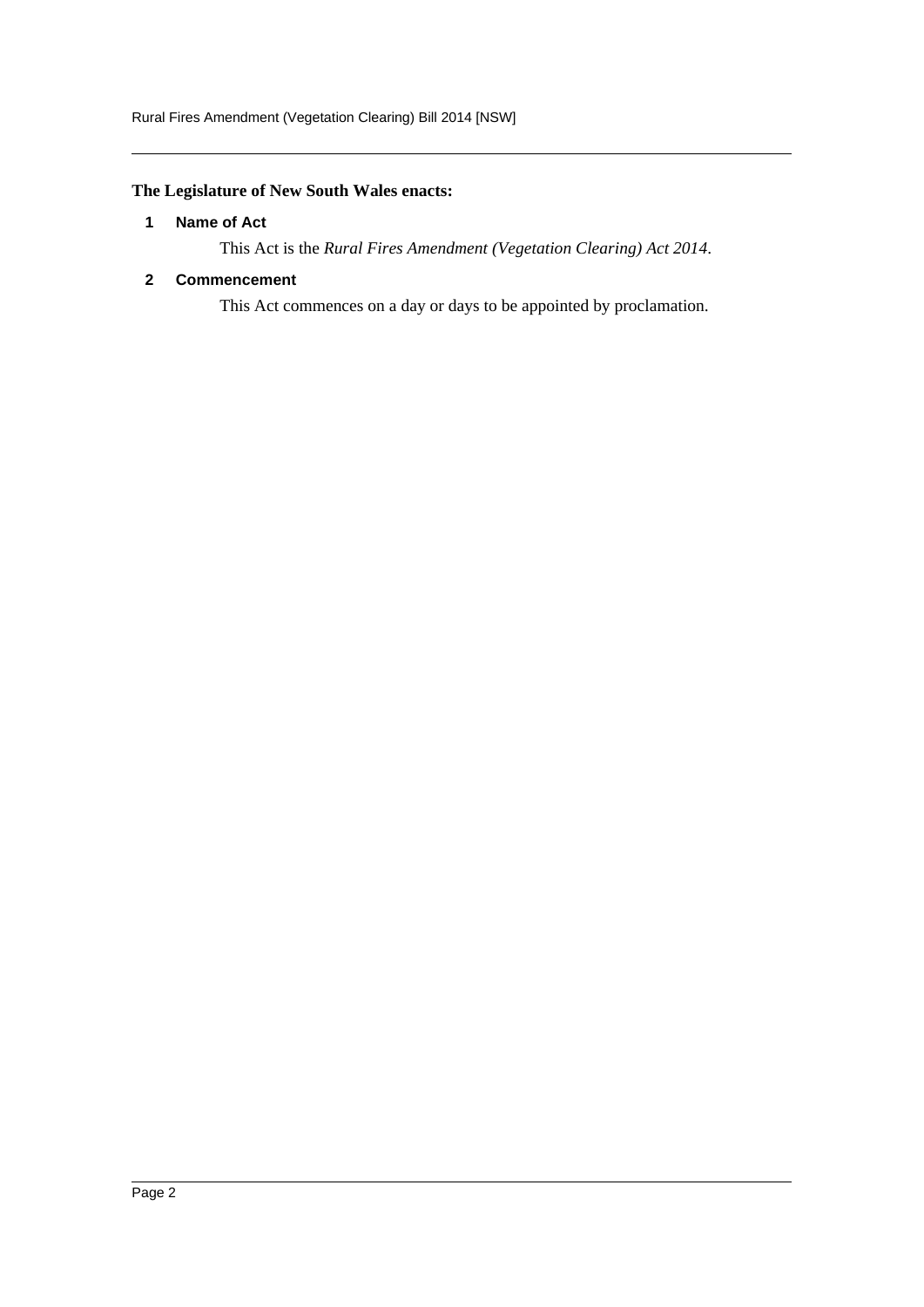# <span id="page-2-0"></span>**The Legislature of New South Wales enacts:**

#### **1 Name of Act**

This Act is the *Rural Fires Amendment (Vegetation Clearing) Act 2014*.

#### <span id="page-2-1"></span>**2 Commencement**

This Act commences on a day or days to be appointed by proclamation.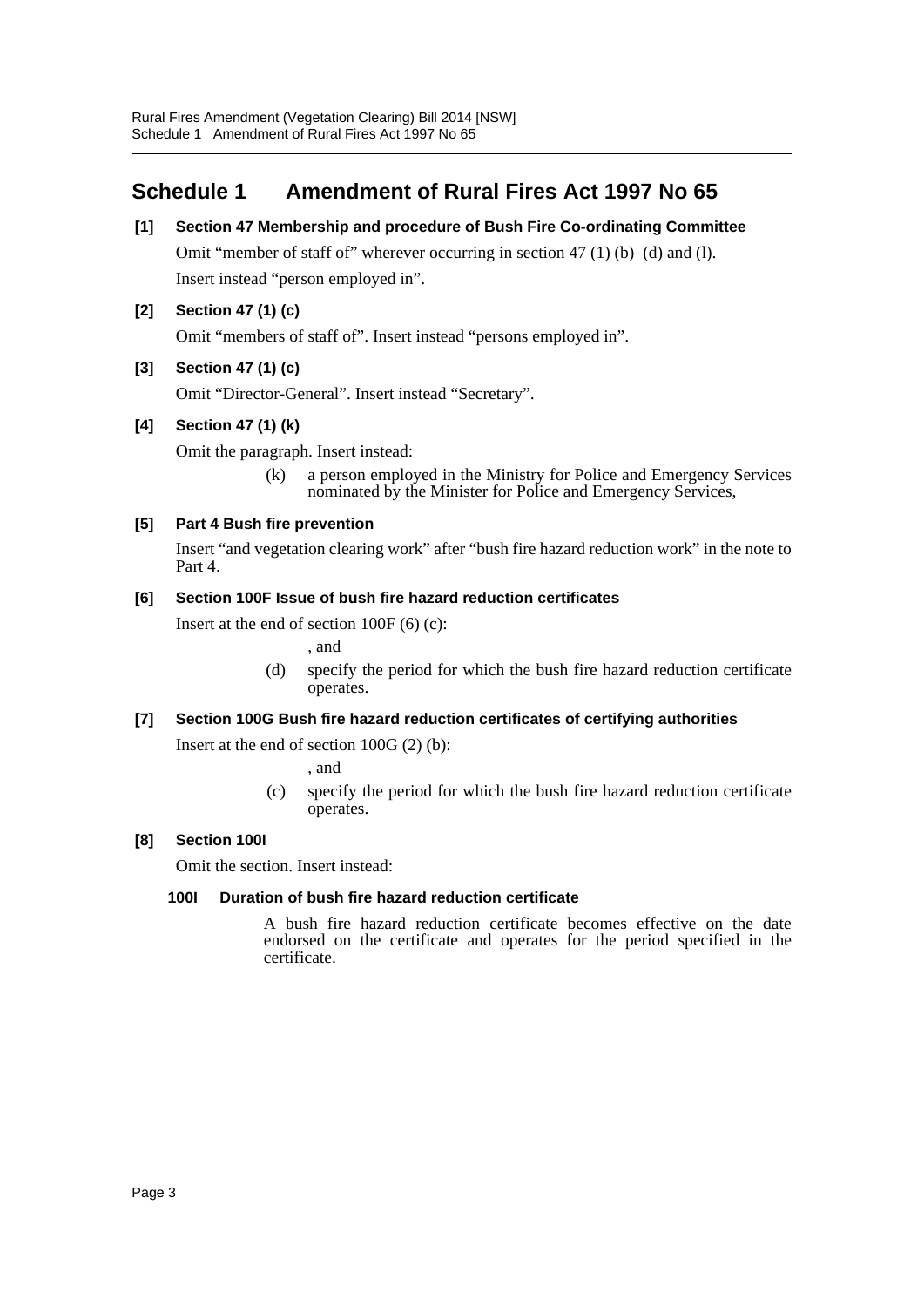# <span id="page-3-0"></span>**Schedule 1 Amendment of Rural Fires Act 1997 No 65**

**[1] Section 47 Membership and procedure of Bush Fire Co-ordinating Committee** Omit "member of staff of" wherever occurring in section 47 (1) (b)–(d) and (l).

Insert instead "person employed in".

## **[2] Section 47 (1) (c)**

Omit "members of staff of". Insert instead "persons employed in".

## **[3] Section 47 (1) (c)**

Omit "Director-General". Insert instead "Secretary".

## **[4] Section 47 (1) (k)**

Omit the paragraph. Insert instead:

(k) a person employed in the Ministry for Police and Emergency Services nominated by the Minister for Police and Emergency Services,

## **[5] Part 4 Bush fire prevention**

Insert "and vegetation clearing work" after "bush fire hazard reduction work" in the note to Part 4.

### **[6] Section 100F Issue of bush fire hazard reduction certificates**

Insert at the end of section 100F (6) (c):

, and

(d) specify the period for which the bush fire hazard reduction certificate operates.

### **[7] Section 100G Bush fire hazard reduction certificates of certifying authorities**

Insert at the end of section 100G (2) (b):

, and

(c) specify the period for which the bush fire hazard reduction certificate operates.

### **[8] Section 100I**

Omit the section. Insert instead:

### **100I Duration of bush fire hazard reduction certificate**

A bush fire hazard reduction certificate becomes effective on the date endorsed on the certificate and operates for the period specified in the certificate.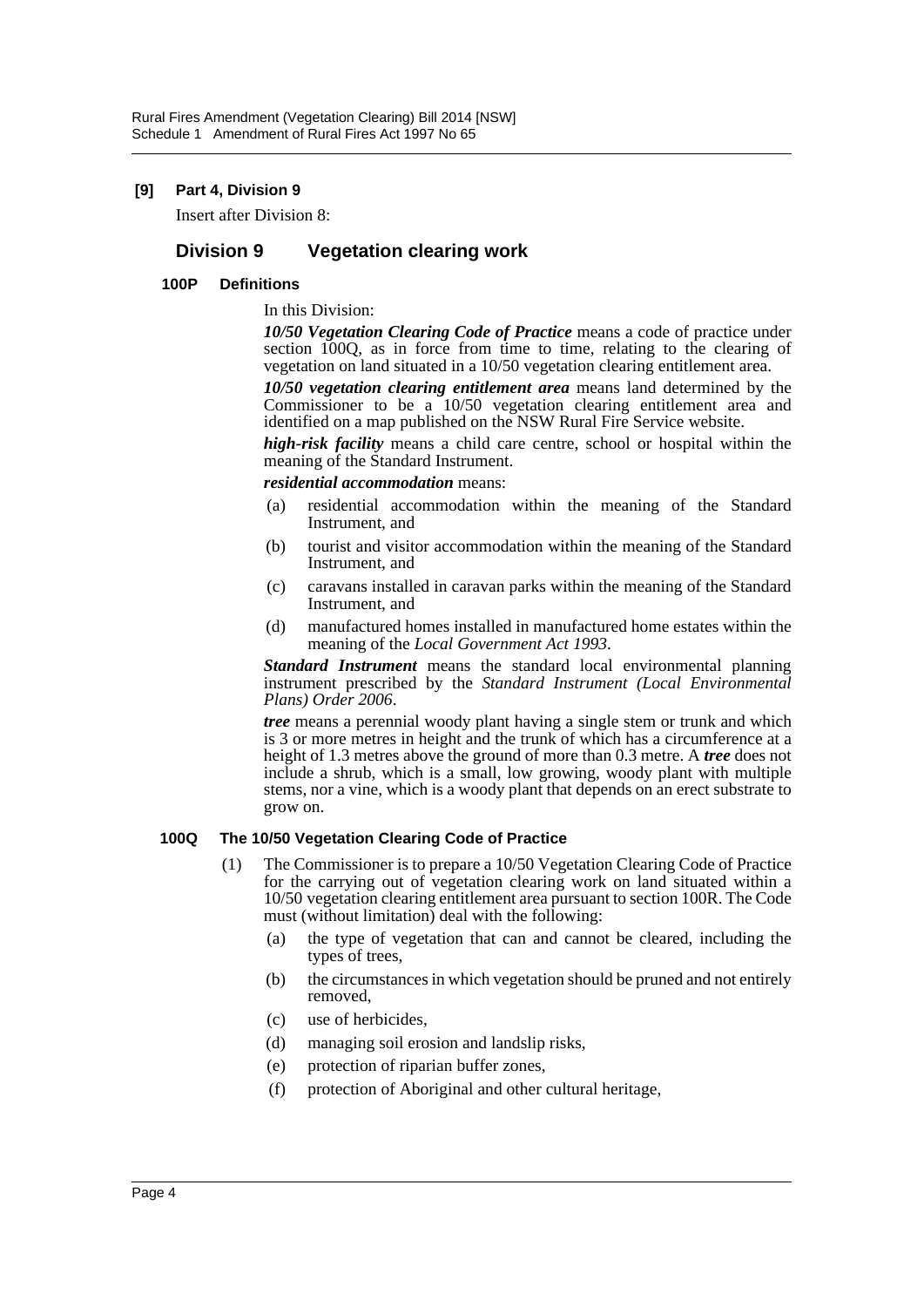#### **[9] Part 4, Division 9**

Insert after Division 8:

# **Division 9 Vegetation clearing work**

#### **100P Definitions**

In this Division:

*10/50 Vegetation Clearing Code of Practice* means a code of practice under section 100Q, as in force from time to time, relating to the clearing of vegetation on land situated in a 10/50 vegetation clearing entitlement area.

*10/50 vegetation clearing entitlement area* means land determined by the Commissioner to be a 10/50 vegetation clearing entitlement area and identified on a map published on the NSW Rural Fire Service website.

*high-risk facility* means a child care centre, school or hospital within the meaning of the Standard Instrument.

*residential accommodation* means:

- (a) residential accommodation within the meaning of the Standard Instrument, and
- (b) tourist and visitor accommodation within the meaning of the Standard Instrument, and
- (c) caravans installed in caravan parks within the meaning of the Standard Instrument, and
- (d) manufactured homes installed in manufactured home estates within the meaning of the *Local Government Act 1993*.

*Standard Instrument* means the standard local environmental planning instrument prescribed by the *Standard Instrument (Local Environmental Plans) Order 2006*.

*tree* means a perennial woody plant having a single stem or trunk and which is 3 or more metres in height and the trunk of which has a circumference at a height of 1.3 metres above the ground of more than 0.3 metre. A *tree* does not include a shrub, which is a small, low growing, woody plant with multiple stems, nor a vine, which is a woody plant that depends on an erect substrate to grow on.

#### **100Q The 10/50 Vegetation Clearing Code of Practice**

- (1) The Commissioner is to prepare a 10/50 Vegetation Clearing Code of Practice for the carrying out of vegetation clearing work on land situated within a 10/50 vegetation clearing entitlement area pursuant to section 100R. The Code must (without limitation) deal with the following:
	- (a) the type of vegetation that can and cannot be cleared, including the types of trees,
	- (b) the circumstances in which vegetation should be pruned and not entirely removed,
	- (c) use of herbicides,
	- (d) managing soil erosion and landslip risks,
	- (e) protection of riparian buffer zones,
	- (f) protection of Aboriginal and other cultural heritage,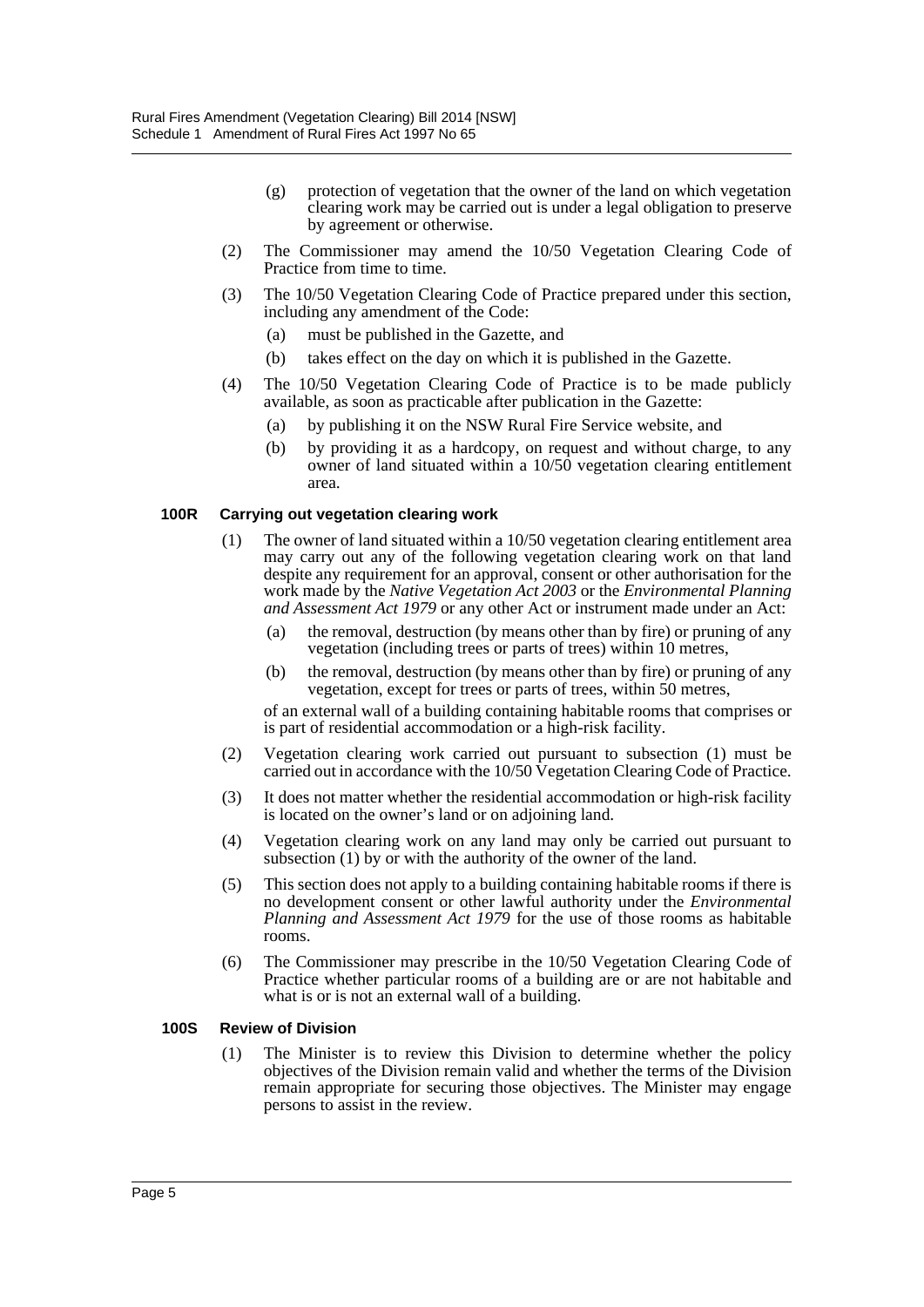- (g) protection of vegetation that the owner of the land on which vegetation clearing work may be carried out is under a legal obligation to preserve by agreement or otherwise.
- (2) The Commissioner may amend the 10/50 Vegetation Clearing Code of Practice from time to time.
- (3) The 10/50 Vegetation Clearing Code of Practice prepared under this section, including any amendment of the Code:
	- (a) must be published in the Gazette, and
	- (b) takes effect on the day on which it is published in the Gazette.
- (4) The 10/50 Vegetation Clearing Code of Practice is to be made publicly available, as soon as practicable after publication in the Gazette:
	- (a) by publishing it on the NSW Rural Fire Service website, and
	- (b) by providing it as a hardcopy, on request and without charge, to any owner of land situated within a 10/50 vegetation clearing entitlement area.

#### **100R Carrying out vegetation clearing work**

- (1) The owner of land situated within a 10/50 vegetation clearing entitlement area may carry out any of the following vegetation clearing work on that land despite any requirement for an approval, consent or other authorisation for the work made by the *Native Vegetation Act 2003* or the *Environmental Planning and Assessment Act 1979* or any other Act or instrument made under an Act:
	- (a) the removal, destruction (by means other than by fire) or pruning of any vegetation (including trees or parts of trees) within 10 metres,
	- (b) the removal, destruction (by means other than by fire) or pruning of any vegetation, except for trees or parts of trees, within 50 metres,

of an external wall of a building containing habitable rooms that comprises or is part of residential accommodation or a high-risk facility.

- (2) Vegetation clearing work carried out pursuant to subsection (1) must be carried out in accordance with the 10/50 Vegetation Clearing Code of Practice.
- (3) It does not matter whether the residential accommodation or high-risk facility is located on the owner's land or on adjoining land.
- (4) Vegetation clearing work on any land may only be carried out pursuant to subsection (1) by or with the authority of the owner of the land.
- (5) This section does not apply to a building containing habitable rooms if there is no development consent or other lawful authority under the *Environmental Planning and Assessment Act 1979* for the use of those rooms as habitable rooms.
- (6) The Commissioner may prescribe in the 10/50 Vegetation Clearing Code of Practice whether particular rooms of a building are or are not habitable and what is or is not an external wall of a building.

#### **100S Review of Division**

(1) The Minister is to review this Division to determine whether the policy objectives of the Division remain valid and whether the terms of the Division remain appropriate for securing those objectives. The Minister may engage persons to assist in the review.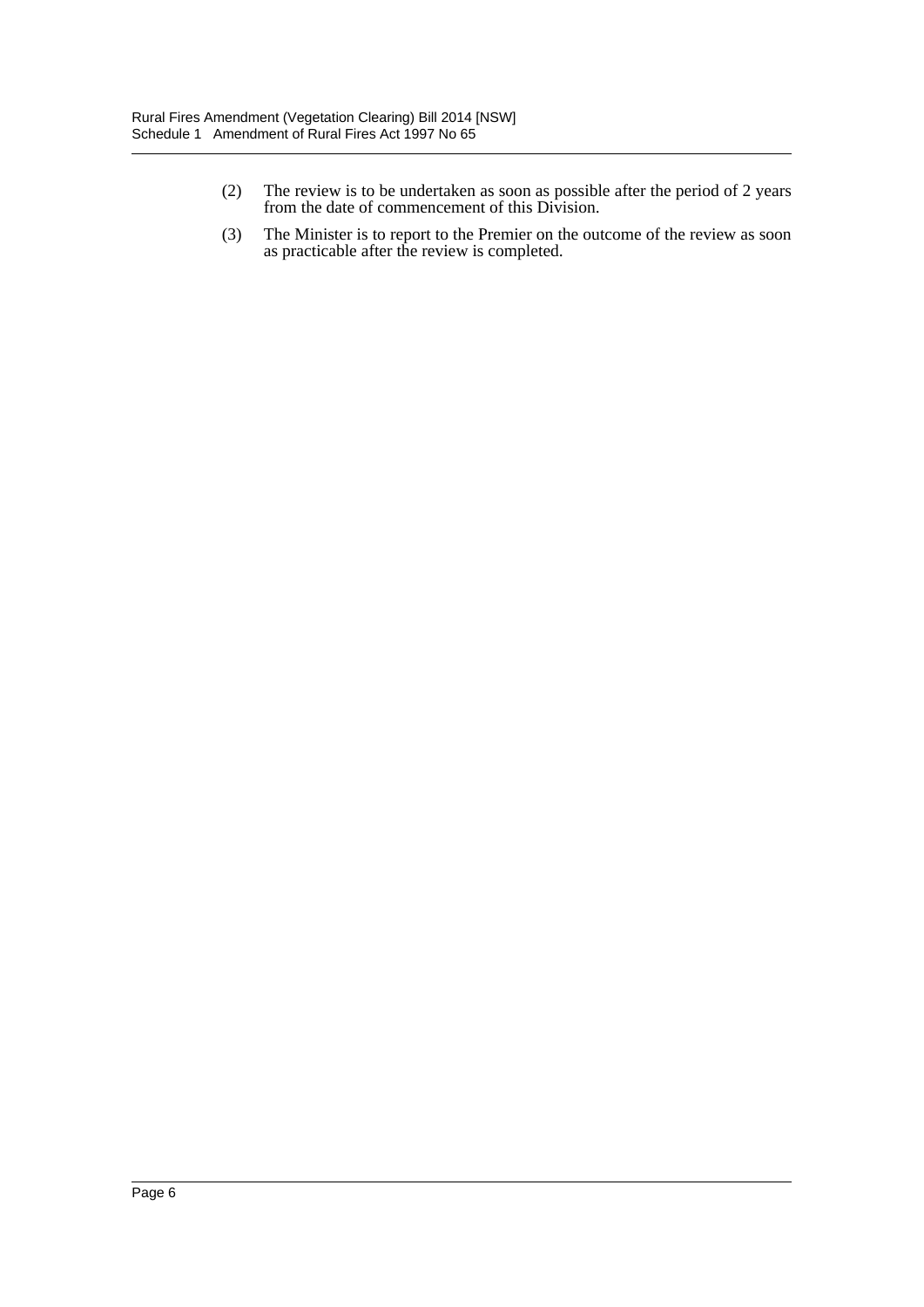- (2) The review is to be undertaken as soon as possible after the period of 2 years from the date of commencement of this Division.
- (3) The Minister is to report to the Premier on the outcome of the review as soon as practicable after the review is completed.